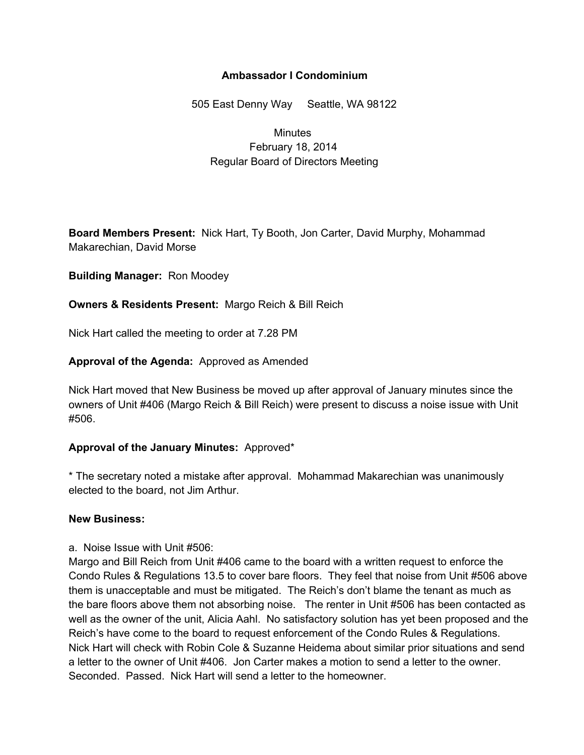### **Ambassador I Condominium**

505 East Denny Way Seattle, WA 98122

# **Minutes** February 18, 2014 Regular Board of Directors Meeting

**Board Members Present:** Nick Hart, Ty Booth, Jon Carter, David Murphy, Mohammad Makarechian, David Morse

#### **Building Manager:** Ron Moodey

### **Owners & Residents Present:** Margo Reich & Bill Reich

Nick Hart called the meeting to order at 7.28 PM

### **Approval of the Agenda:** Approved as Amended

Nick Hart moved that New Business be moved up after approval of January minutes since the owners of Unit #406 (Margo Reich & Bill Reich) were present to discuss a noise issue with Unit #506.

#### **Approval of the January Minutes:** Approved\*

\* The secretary noted a mistake after approval. Mohammad Makarechian was unanimously elected to the board, not Jim Arthur.

#### **New Business:**

a. Noise Issue with Unit #506:

Margo and Bill Reich from Unit #406 came to the board with a written request to enforce the Condo Rules & Regulations 13.5 to cover bare floors. They feel that noise from Unit #506 above them is unacceptable and must be mitigated. The Reich's don't blame the tenant as much as the bare floors above them not absorbing noise. The renter in Unit #506 has been contacted as well as the owner of the unit, Alicia Aahl. No satisfactory solution has yet been proposed and the Reich's have come to the board to request enforcement of the Condo Rules & Regulations. Nick Hart will check with Robin Cole & Suzanne Heidema about similar prior situations and send a letter to the owner of Unit #406. Jon Carter makes a motion to send a letter to the owner. Seconded. Passed. Nick Hart will send a letter to the homeowner.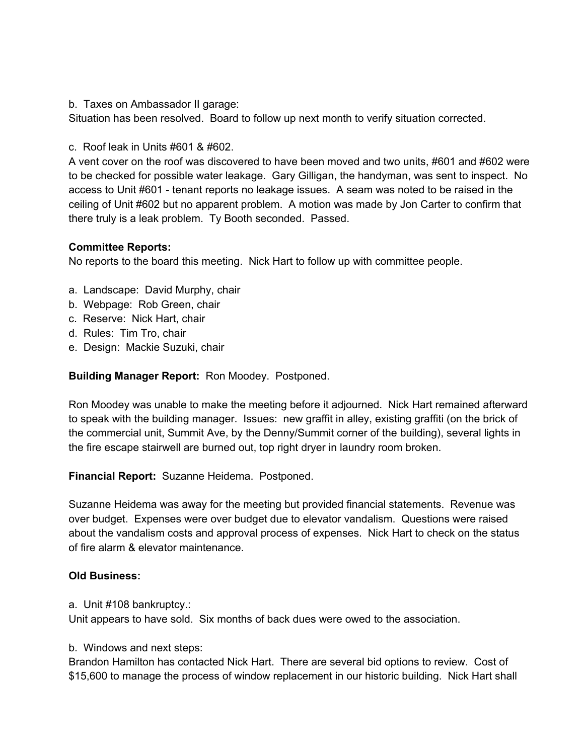b. Taxes on Ambassador II garage:

Situation has been resolved. Board to follow up next month to verify situation corrected.

c. Roof leak in Units #601 & #602.

A vent cover on the roof was discovered to have been moved and two units, #601 and #602 were to be checked for possible water leakage. Gary Gilligan, the handyman, was sent to inspect. No access to Unit #601 - tenant reports no leakage issues. A seam was noted to be raised in the ceiling of Unit #602 but no apparent problem. A motion was made by Jon Carter to confirm that there truly is a leak problem. Ty Booth seconded. Passed.

# **Committee Reports:**

No reports to the board this meeting. Nick Hart to follow up with committee people.

- a. Landscape: David Murphy, chair
- b. Webpage: Rob Green, chair
- c. Reserve: Nick Hart, chair
- d. Rules: Tim Tro, chair
- e. Design: Mackie Suzuki, chair

# **Building Manager Report:** Ron Moodey. Postponed.

Ron Moodey was unable to make the meeting before it adjourned. Nick Hart remained afterward to speak with the building manager. Issues: new graffit in alley, existing graffiti (on the brick of the commercial unit, Summit Ave, by the Denny/Summit corner of the building), several lights in the fire escape stairwell are burned out, top right dryer in laundry room broken.

**Financial Report:** Suzanne Heidema. Postponed.

Suzanne Heidema was away for the meeting but provided financial statements. Revenue was over budget. Expenses were over budget due to elevator vandalism. Questions were raised about the vandalism costs and approval process of expenses. Nick Hart to check on the status of fire alarm & elevator maintenance.

#### **Old Business:**

a. Unit #108 bankruptcy.:

Unit appears to have sold. Six months of back dues were owed to the association.

#### b. Windows and next steps:

Brandon Hamilton has contacted Nick Hart. There are several bid options to review. Cost of \$15,600 to manage the process of window replacement in our historic building. Nick Hart shall